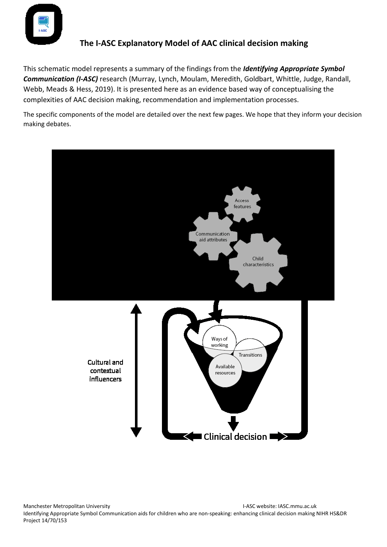

This schematic model represents a summary of the findings from the *Identifying Appropriate Symbol Communication (I-ASC)* research (Murray, Lynch, Moulam, Meredith, Goldbart, Whittle, Judge, Randall, Webb, Meads & Hess, 2019). It is presented here as an evidence based way of conceptualising the complexities of AAC decision making, recommendation and implementation processes.

The specific components of the model are detailed over the next few pages. We hope that they inform your decision making debates.

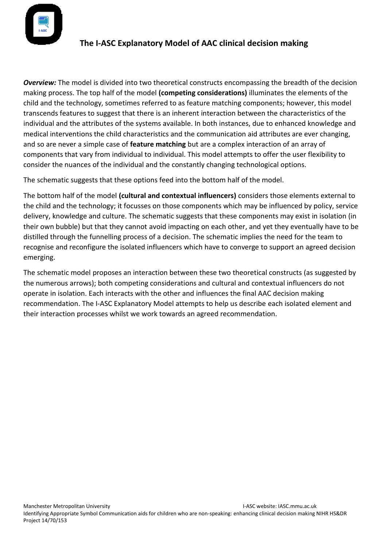

*Overview:* The model is divided into two theoretical constructs encompassing the breadth of the decision making process. The top half of the model **(competing considerations)** illuminates the elements of the child and the technology, sometimes referred to as feature matching components; however, this model transcends features to suggest that there is an inherent interaction between the characteristics of the individual and the attributes of the systems available. In both instances, due to enhanced knowledge and medical interventions the child characteristics and the communication aid attributes are ever changing, and so are never a simple case of **feature matching** but are a complex interaction of an array of components that vary from individual to individual. This model attempts to offer the user flexibility to consider the nuances of the individual and the constantly changing technological options.

The schematic suggests that these options feed into the bottom half of the model.

The bottom half of the model **(cultural and contextual influencers)** considers those elements external to the child and the technology; it focusses on those components which may be influenced by policy, service delivery, knowledge and culture. The schematic suggests that these components may exist in isolation (in their own bubble) but that they cannot avoid impacting on each other, and yet they eventually have to be distilled through the funnelling process of a decision. The schematic implies the need for the team to recognise and reconfigure the isolated influencers which have to converge to support an agreed decision emerging.

The schematic model proposes an interaction between these two theoretical constructs (as suggested by the numerous arrows); both competing considerations and cultural and contextual influencers do not operate in isolation. Each interacts with the other and influences the final AAC decision making recommendation. The I-ASC Explanatory Model attempts to help us describe each isolated element and their interaction processes whilst we work towards an agreed recommendation.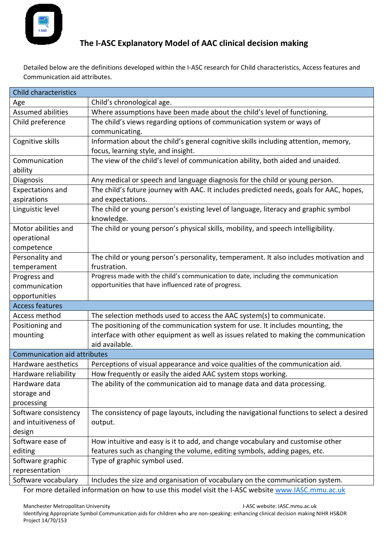

Detailed below are the definitions developed within the I-ASC research for Child characteristics, Access features and Communication aid attributes.

| <b>Child characteristics</b>        |                                                                                           |  |
|-------------------------------------|-------------------------------------------------------------------------------------------|--|
| Age                                 | Child's chronological age.                                                                |  |
| <b>Assumed abilities</b>            | Where assumptions have been made about the child's level of functioning.                  |  |
| Child preference                    | The child's views regarding options of communication system or ways of                    |  |
|                                     | communicating.                                                                            |  |
| Cognitive skills                    | Information about the child's general cognitive skills including attention, memory,       |  |
|                                     | focus, learning style, and insight.                                                       |  |
| Communication                       | The view of the child's level of communication ability, both aided and unaided.           |  |
| ability                             |                                                                                           |  |
| Diagnosis                           | Any medical or speech and language diagnosis for the child or young person.               |  |
| <b>Expectations and</b>             | The child's future journey with AAC. It includes predicted needs, goals for AAC, hopes,   |  |
| aspirations                         | and expectations.                                                                         |  |
| Linguistic level                    | The child or young person's existing level of language, literacy and graphic symbol       |  |
|                                     | knowledge.                                                                                |  |
| Motor abilities and                 | The child or young person's physical skills, mobility, and speech intelligibility.        |  |
| operational                         |                                                                                           |  |
| competence                          |                                                                                           |  |
| Personality and                     | The child or young person's personality, temperament. It also includes motivation and     |  |
| temperament                         | frustration.                                                                              |  |
| Progress and                        | Progress made with the child's communication to date, including the communication         |  |
| communication                       | opportunities that have influenced rate of progress.                                      |  |
| opportunities                       |                                                                                           |  |
| <b>Access features</b>              |                                                                                           |  |
| Access method                       | The selection methods used to access the AAC system(s) to communicate.                    |  |
| Positioning and                     | The positioning of the communication system for use. It includes mounting, the            |  |
| mounting                            | interface with other equipment as well as issues related to making the communication      |  |
|                                     | aid available.                                                                            |  |
| <b>Communication aid attributes</b> |                                                                                           |  |
| Hardware aesthetics                 | Perceptions of visual appearance and voice qualities of the communication aid.            |  |
| Hardware reliability                | How frequently or easily the aided AAC system stops working.                              |  |
| Hardware data                       | The ability of the communication aid to manage data and data processing.                  |  |
| storage and                         |                                                                                           |  |
| processing                          |                                                                                           |  |
| Software consistency                | The consistency of page layouts, including the navigational functions to select a desired |  |
| and intuitiveness of                | output.                                                                                   |  |
| design                              |                                                                                           |  |
| Software ease of                    | How intuitive and easy is it to add, and change vocabulary and customise other            |  |
| editing                             | features such as changing the volume, editing symbols, adding pages, etc.                 |  |
| Software graphic                    | Type of graphic symbol used.                                                              |  |
| representation                      |                                                                                           |  |
| Software vocabulary                 | Includes the size and organisation of vocabulary on the communication system.             |  |

For more detailed information on how to use this model visit the I-ASC website [www.IASC.mmu.ac.uk](http://www.iasc.mmu.ac.uk/)